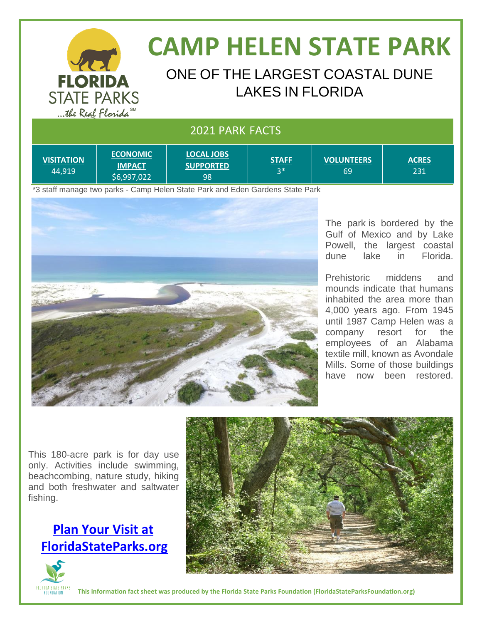

# **CAMP HELEN STATE PARK**

### ONE OF THE LARGEST COASTAL DUNE LAKES IN FLORIDA

#### 2021 PARK FACTS

| <b>IVISITATION</b><br>44.919 | <b>ECONOMIC</b><br><b>IMPACT</b><br>56,997,022 | <b>LOCAL JOBS</b><br><b>SUPPORTED</b><br>98 | <b>STAFF</b><br>$3*$ | <b>VOLUNTEERS</b><br>69 | <b>ACRES</b><br>231 |
|------------------------------|------------------------------------------------|---------------------------------------------|----------------------|-------------------------|---------------------|
|------------------------------|------------------------------------------------|---------------------------------------------|----------------------|-------------------------|---------------------|

\*3 staff manage two parks - Camp Helen State Park and Eden Gardens State Park



The park is bordered by the Gulf of Mexico and by Lake Powell, the largest coastal dune lake in Florida.

Prehistoric middens and mounds indicate that humans inhabited the area more than 4,000 years ago. From 1945 until 1987 Camp Helen was a company resort for the employees of an Alabama textile mill, known as Avondale Mills. Some of those buildings have now been restored.

This 180-acre park is for day use only. Activities include swimming, beachcombing, nature study, hiking and both freshwater and saltwater fishing.

### **[Plan Your Visit at](http://www.floridastateparks.org/)   [FloridaStateParks.org](http://www.floridastateparks.org/)**





**This information fact sheet was produced by the Florida State Parks Foundation (FloridaStateParksFoundation.org)**